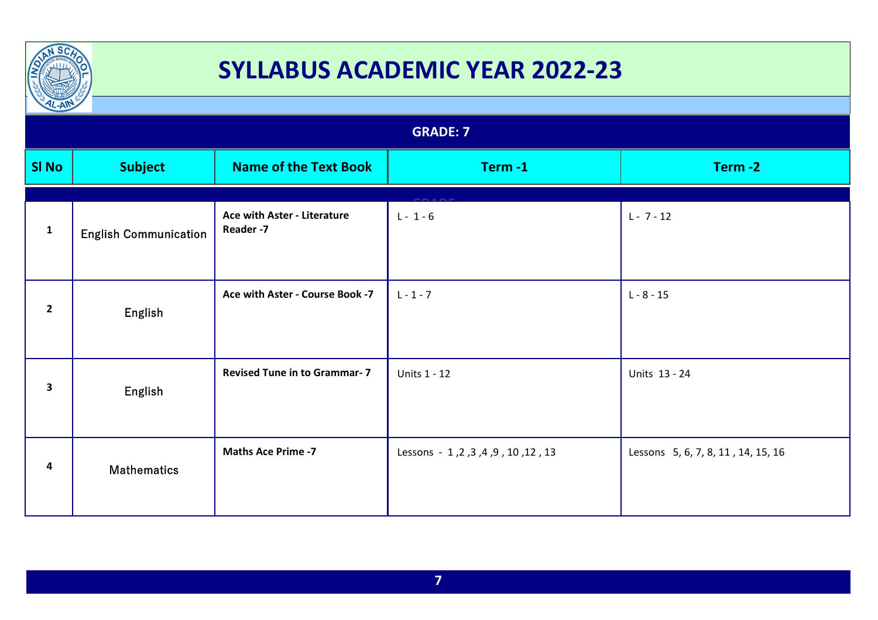

| $\frac{1}{2}$   |                              |                                         |                                               |                                    |
|-----------------|------------------------------|-----------------------------------------|-----------------------------------------------|------------------------------------|
| <b>GRADE: 7</b> |                              |                                         |                                               |                                    |
| <b>SI No</b>    | <b>Subject</b>               | <b>Name of the Text Book</b>            | Term-1                                        | Term-2                             |
| $\mathbf{1}$    | <b>English Communication</b> | Ace with Aster - Literature<br>Reader-7 | $L - 1 - 6$                                   | $L - 7 - 12$                       |
| $\mathbf{2}$    | English                      | Ace with Aster - Course Book -7         | $L - 1 - 7$                                   | $L - 8 - 15$                       |
| 3               | English                      | <b>Revised Tune in to Grammar- 7</b>    | <b>Units 1 - 12</b>                           | Units 13 - 24                      |
| 4               | <b>Mathematics</b>           | <b>Maths Ace Prime -7</b>               | 13, 12, 10, 9, 4, 8, 3, 4 , 10 Lessons - 1, 2 | Lessons 5, 6, 7, 8, 11, 14, 15, 16 |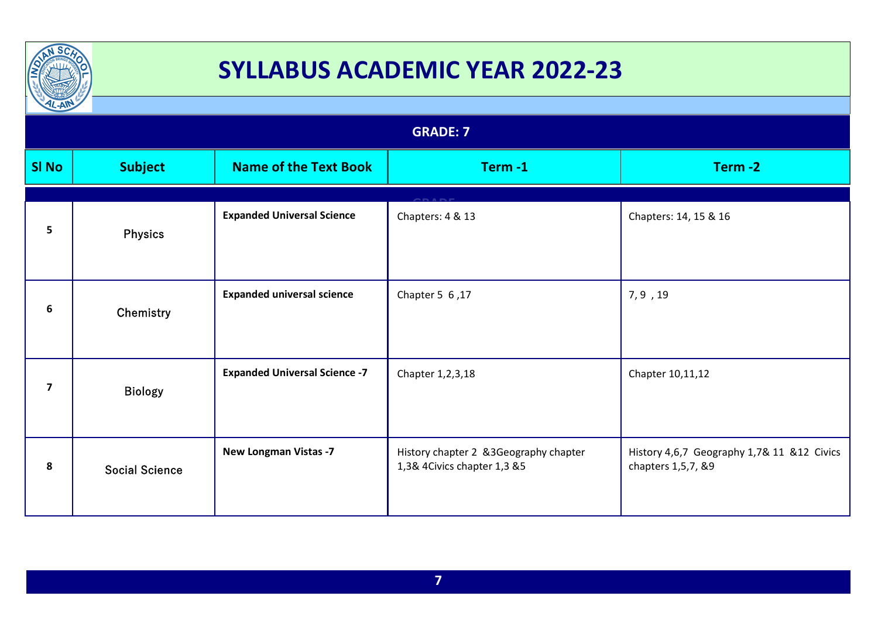

| $L-AW$                  |                       |                                      |                                                                      |                                                                  |
|-------------------------|-----------------------|--------------------------------------|----------------------------------------------------------------------|------------------------------------------------------------------|
| <b>GRADE: 7</b>         |                       |                                      |                                                                      |                                                                  |
| <b>SI No</b>            | <b>Subject</b>        | <b>Name of the Text Book</b>         | Term-1                                                               | Term-2                                                           |
|                         |                       |                                      |                                                                      |                                                                  |
| 5                       | <b>Physics</b>        | <b>Expanded Universal Science</b>    | Chapters: 4 & 13                                                     | Chapters: 14, 15 & 16                                            |
| 6                       | Chemistry             | <b>Expanded universal science</b>    | Chapter 5 6,17                                                       | 7,9,19                                                           |
| $\overline{\mathbf{z}}$ | <b>Biology</b>        | <b>Expanded Universal Science -7</b> | Chapter 1,2,3,18                                                     | Chapter 10, 11, 12                                               |
| 8                       | <b>Social Science</b> | <b>New Longman Vistas -7</b>         | History chapter 2 &3Geography chapter<br>1,3& 4Civics chapter 1,3 &5 | History 4,6,7 Geography 1,7& 11 &12 Civics<br>chapters 1,5,7, &9 |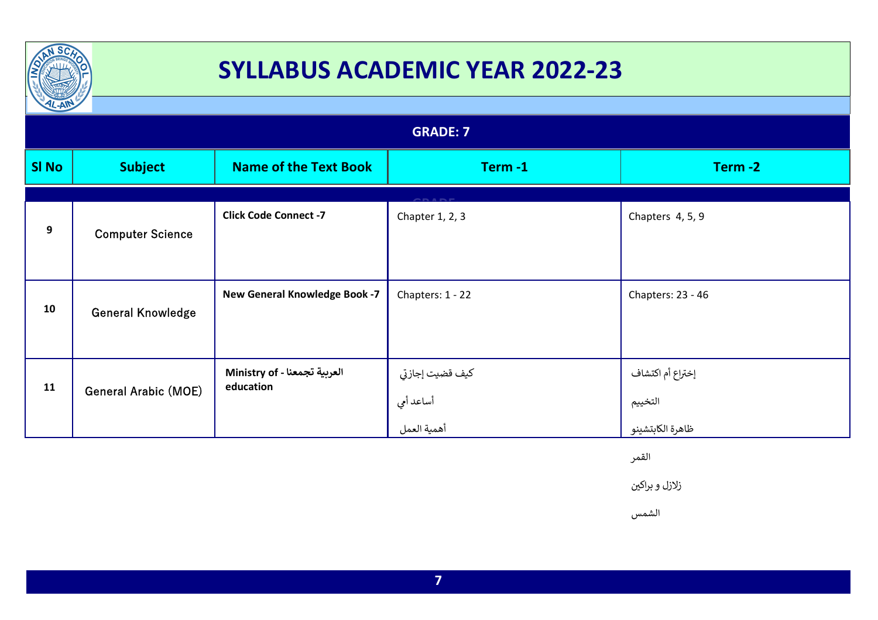

| $\sim$ $\sim$    |                             |                                           |                                                       |                                                 |
|------------------|-----------------------------|-------------------------------------------|-------------------------------------------------------|-------------------------------------------------|
| <b>GRADE: 7</b>  |                             |                                           |                                                       |                                                 |
| <b>SI No</b>     | <b>Subject</b>              | <b>Name of the Text Book</b>              | Term-1                                                | Term-2                                          |
| $\boldsymbol{9}$ | <b>Computer Science</b>     | <b>Click Code Connect -7</b>              | $\sim$ $\sim$ $\sim$ $\sim$ $\sim$<br>Chapter 1, 2, 3 | Chapters 4, 5, 9                                |
| 10               | <b>General Knowledge</b>    | <b>New General Knowledge Book -7</b>      | Chapters: 1 - 22                                      | Chapters: 23 - 46                               |
| 11               | <b>General Arabic (MOE)</b> | العربية تجمعنا - Ministry of<br>education | كيف قضيت إجازتي<br>أساعد أمي<br>أهمية العمل           | إختراع أم اكتشاف<br>التخييم<br>ظاهرة الكابتشينو |

القمر

زلازل و براکین

الشمس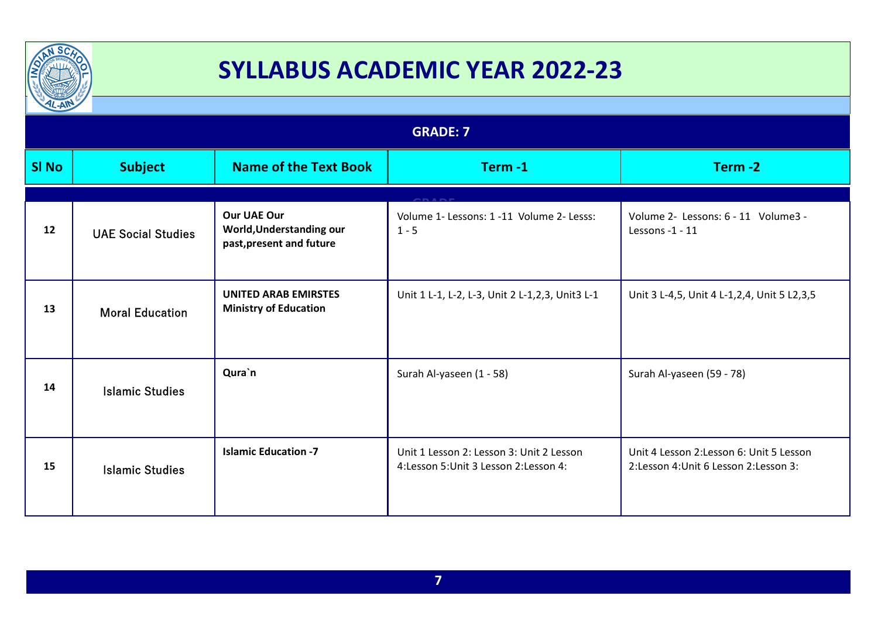

| $\frac{1}{2}$   |                           |                                                                            |                                                                                     |                                                                                     |
|-----------------|---------------------------|----------------------------------------------------------------------------|-------------------------------------------------------------------------------------|-------------------------------------------------------------------------------------|
| <b>GRADE: 7</b> |                           |                                                                            |                                                                                     |                                                                                     |
| <b>SI No</b>    | <b>Subject</b>            | <b>Name of the Text Book</b>                                               | Term-1                                                                              | Term-2                                                                              |
|                 |                           |                                                                            |                                                                                     |                                                                                     |
| 12              | <b>UAE Social Studies</b> | <b>Our UAE Our</b><br>World, Understanding our<br>past, present and future | Volume 1- Lessons: 1 -11 Volume 2- Lesss:<br>$1 - 5$                                | Volume 2- Lessons: 6 - 11 Volume3 -<br>Lessons -1 - 11                              |
| 13              | <b>Moral Education</b>    | <b>UNITED ARAB EMIRSTES</b><br><b>Ministry of Education</b>                | Unit 1 L-1, L-2, L-3, Unit 2 L-1,2,3, Unit3 L-1                                     | Unit 3 L-4,5, Unit 4 L-1,2,4, Unit 5 L2,3,5                                         |
| 14              | <b>Islamic Studies</b>    | Qura`n                                                                     | Surah Al-yaseen (1 - 58)                                                            | Surah Al-yaseen (59 - 78)                                                           |
| 15              | <b>Islamic Studies</b>    | <b>Islamic Education -7</b>                                                | Unit 1 Lesson 2: Lesson 3: Unit 2 Lesson<br>4: Lesson 5: Unit 3 Lesson 2: Lesson 4: | Unit 4 Lesson 2: Lesson 6: Unit 5 Lesson<br>2: Lesson 4: Unit 6 Lesson 2: Lesson 3: |